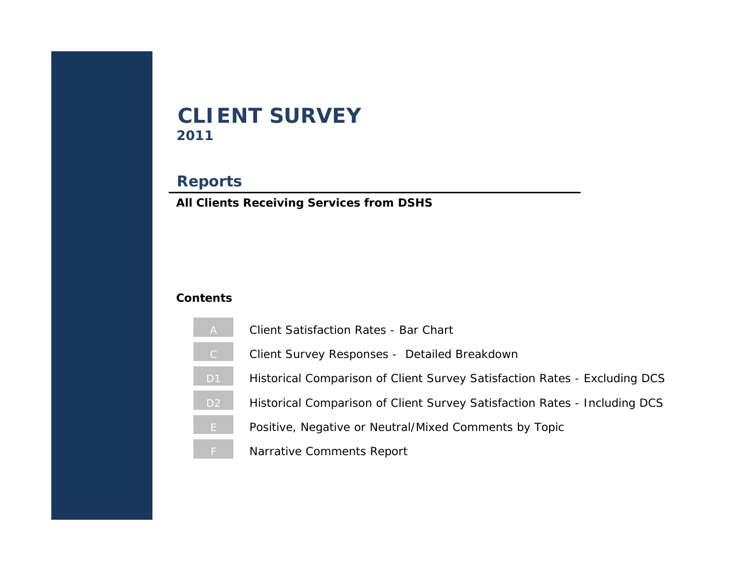# **2011 CLIENT SURVEY**

## **Reports**

**All Clients Receiving Services from DSHS**

## **Contents**

- [A](#page-1-0) Client Satisfaction Rates Bar Chart
- [C](#page-2-0) | Client Survey Responses Detailed Breakdown
- D1 | Historical Comparison of Client Survey Satisfaction Rates Excluding DCS
- D<sub>2</sub> Historical Comparison of Client Survey Satisfaction Rates Including DCS
- [E](#page-5-0) Positive, Negative or Neutral/Mixed Comments by Topic
- [F](#page-6-0) Narrative Comments Report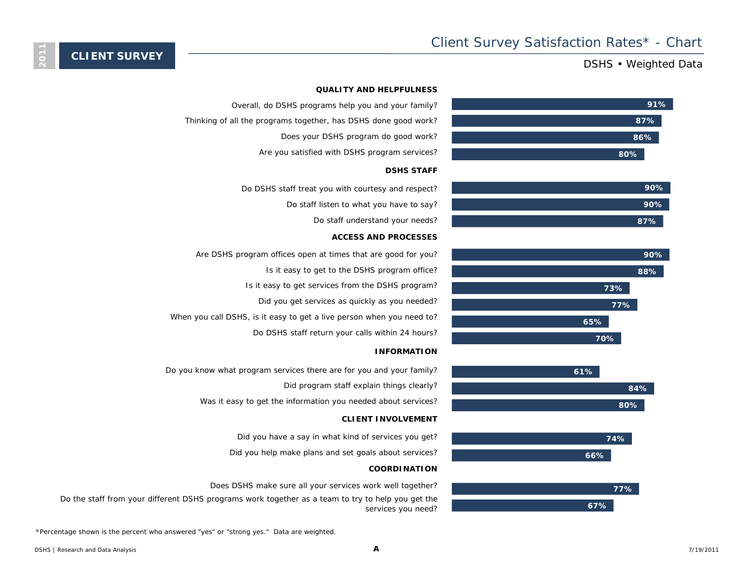## DSHS • Weighted Data













## **QUALITY AND HELPFULNESS**

- Overall, do DSHS programs help you and your family?
- Thinking of all the programs together, has DSHS done good work?
	- Does your DSHS program do good work?
	- Are you satisfied with DSHS program services?

#### **DSHS STAFF**

- Do DSHS staff treat you with courtesy and respect?
	- Do staff listen to what you have to say?
		- Do staff understand your needs?

#### **ACCESS AND PROCESSES**

- Are DSHS program offices open at times that are good for you? Is it easy to get to the DSHS program office? Is it easy to get services from the DSHS program? Did you get services as quickly as you needed?
- When you call DSHS, is it easy to get a live person when you need to? Do DSHS staff return your calls within 24 hours?
	-

#### **INFORMATION**

- Do you know what program services there are for you and your family?
	- Did program staff explain things clearly?
	- Was it easy to get the information you needed about services?

#### **CLIENT INVOLVEMENT**

- Did you have a say in what kind of services you get?
- Did you help make plans and set goals about services?

#### **COORDINATION**

- Does DSHS make sure all your services work well together?
- Do the staff from your different DSHS programs work together as a team to try to help you get the services you need?

\*Percentage shown is the percent who answered "yes" or "strong yes." Data are weighted.

<span id="page-1-0"></span>**2011**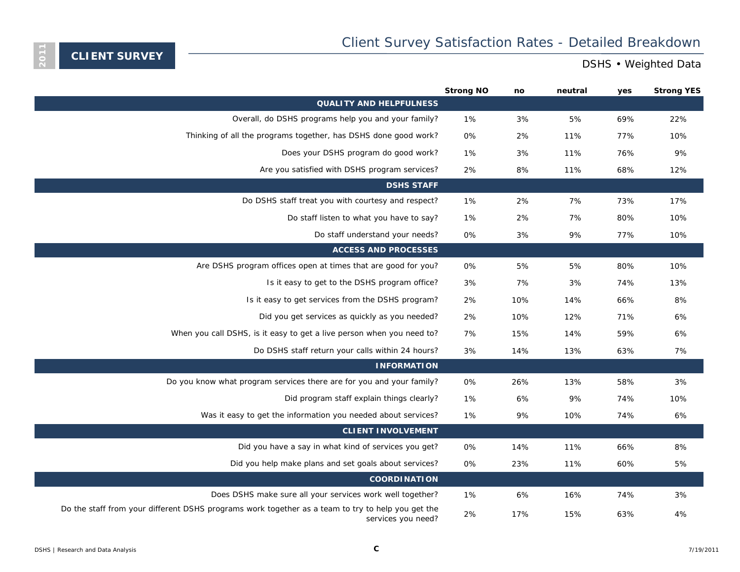<span id="page-2-0"></span>**2011**

|                                                                                                                         | <b>Strong NO</b> | no  | neutral | yes | <b>Strong YES</b> |
|-------------------------------------------------------------------------------------------------------------------------|------------------|-----|---------|-----|-------------------|
| <b>QUALITY AND HELPFULNESS</b>                                                                                          |                  |     |         |     |                   |
| Overall, do DSHS programs help you and your family?                                                                     | 1%               | 3%  | 5%      | 69% | 22%               |
| Thinking of all the programs together, has DSHS done good work?                                                         | 0%               | 2%  | 11%     | 77% | 10%               |
| Does your DSHS program do good work?                                                                                    | 1%               | 3%  | 11%     | 76% | 9%                |
| Are you satisfied with DSHS program services?                                                                           | 2%               | 8%  | 11%     | 68% | 12%               |
| <b>DSHS STAFF</b>                                                                                                       |                  |     |         |     |                   |
| Do DSHS staff treat you with courtesy and respect?                                                                      | 1%               | 2%  | 7%      | 73% | 17%               |
| Do staff listen to what you have to say?                                                                                | 1%               | 2%  | 7%      | 80% | 10%               |
| Do staff understand your needs?                                                                                         | 0%               | 3%  | 9%      | 77% | 10%               |
| <b>ACCESS AND PROCESSES</b>                                                                                             |                  |     |         |     |                   |
| Are DSHS program offices open at times that are good for you?                                                           | 0%               | 5%  | 5%      | 80% | 10%               |
| Is it easy to get to the DSHS program office?                                                                           | 3%               | 7%  | 3%      | 74% | 13%               |
| Is it easy to get services from the DSHS program?                                                                       | 2%               | 10% | 14%     | 66% | 8%                |
| Did you get services as quickly as you needed?                                                                          | 2%               | 10% | 12%     | 71% | 6%                |
| When you call DSHS, is it easy to get a live person when you need to?                                                   | 7%               | 15% | 14%     | 59% | 6%                |
| Do DSHS staff return your calls within 24 hours?                                                                        | 3%               | 14% | 13%     | 63% | 7%                |
| <b>INFORMATION</b>                                                                                                      |                  |     |         |     |                   |
| Do you know what program services there are for you and your family?                                                    | 0%               | 26% | 13%     | 58% | 3%                |
| Did program staff explain things clearly?                                                                               | 1%               | 6%  | 9%      | 74% | 10%               |
| Was it easy to get the information you needed about services?                                                           | 1%               | 9%  | 10%     | 74% | 6%                |
| <b>CLIENT INVOLVEMENT</b>                                                                                               |                  |     |         |     |                   |
| Did you have a say in what kind of services you get?                                                                    | 0%               | 14% | 11%     | 66% | 8%                |
| Did you help make plans and set goals about services?                                                                   | 0%               | 23% | 11%     | 60% | 5%                |
| <b>COORDINATION</b>                                                                                                     |                  |     |         |     |                   |
| Does DSHS make sure all your services work well together?                                                               | 1%               | 6%  | 16%     | 74% | 3%                |
| Do the staff from your different DSHS programs work together as a team to try to help you get the<br>services you need? | 2%               | 17% | 15%     | 63% | 4%                |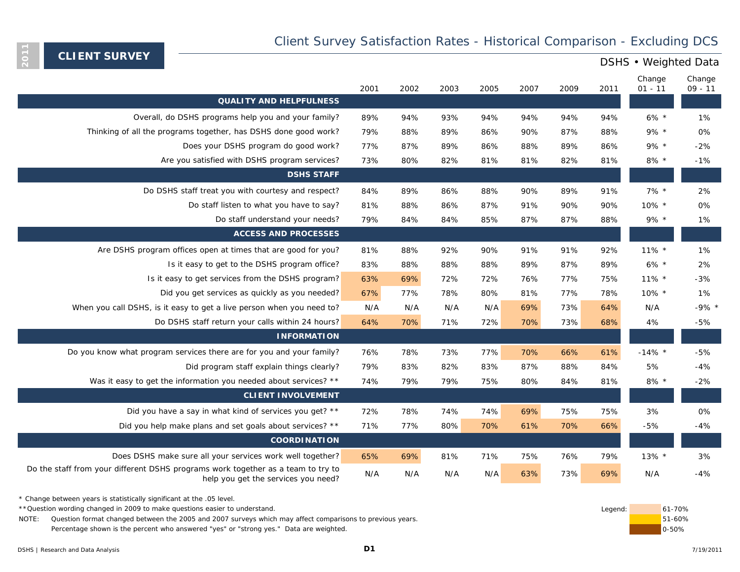## Client Survey Satisfaction Rates - Historical Comparison - Excluding DCS

**CLIENT SURVEY**

<span id="page-3-0"></span>**2011**

|                                                                                                                         | 2001 | 2002 | 2003 | 2005 | 2007 | 2009 | 2011 | Change<br>$01 - 11$ | Change<br>$09 - 11$ |
|-------------------------------------------------------------------------------------------------------------------------|------|------|------|------|------|------|------|---------------------|---------------------|
| <b>QUALITY AND HELPFULNESS</b>                                                                                          |      |      |      |      |      |      |      |                     |                     |
| Overall, do DSHS programs help you and your family?                                                                     | 89%  | 94%  | 93%  | 94%  | 94%  | 94%  | 94%  | $6\%$ *             | 1%                  |
| Thinking of all the programs together, has DSHS done good work?                                                         | 79%  | 88%  | 89%  | 86%  | 90%  | 87%  | 88%  | $9\% *$             | 0%                  |
| Does your DSHS program do good work?                                                                                    | 77%  | 87%  | 89%  | 86%  | 88%  | 89%  | 86%  | $9\% *$             | $-2%$               |
| Are you satisfied with DSHS program services?                                                                           | 73%  | 80%  | 82%  | 81%  | 81%  | 82%  | 81%  | $8\%$ *             | $-1%$               |
| <b>DSHS STAFF</b>                                                                                                       |      |      |      |      |      |      |      |                     |                     |
| Do DSHS staff treat you with courtesy and respect?                                                                      | 84%  | 89%  | 86%  | 88%  | 90%  | 89%  | 91%  | $7\%$ *             | 2%                  |
| Do staff listen to what you have to say?                                                                                | 81%  | 88%  | 86%  | 87%  | 91%  | 90%  | 90%  | $10\%$ *            | 0%                  |
| Do staff understand your needs?                                                                                         | 79%  | 84%  | 84%  | 85%  | 87%  | 87%  | 88%  | $9\% *$             | 1%                  |
| <b>ACCESS AND PROCESSES</b>                                                                                             |      |      |      |      |      |      |      |                     |                     |
| Are DSHS program offices open at times that are good for you?                                                           | 81%  | 88%  | 92%  | 90%  | 91%  | 91%  | 92%  | 11% *               | 1%                  |
| Is it easy to get to the DSHS program office?                                                                           | 83%  | 88%  | 88%  | 88%  | 89%  | 87%  | 89%  | $6\%$ *             | 2%                  |
| Is it easy to get services from the DSHS program?                                                                       | 63%  | 69%  | 72%  | 72%  | 76%  | 77%  | 75%  | $11\%$ *            | $-3%$               |
| Did you get services as quickly as you needed?                                                                          | 67%  | 77%  | 78%  | 80%  | 81%  | 77%  | 78%  | 10% *               | 1%                  |
| When you call DSHS, is it easy to get a live person when you need to?                                                   | N/A  | N/A  | N/A  | N/A  | 69%  | 73%  | 64%  | N/A                 | $-9\%$ *            |
| Do DSHS staff return your calls within 24 hours?                                                                        | 64%  | 70%  | 71%  | 72%  | 70%  | 73%  | 68%  | 4%                  | $-5%$               |
| <b>INFORMATION</b>                                                                                                      |      |      |      |      |      |      |      |                     |                     |
| Do you know what program services there are for you and your family?                                                    | 76%  | 78%  | 73%  | 77%  | 70%  | 66%  | 61%  | $-14\%$ *           | $-5%$               |
| Did program staff explain things clearly?                                                                               | 79%  | 83%  | 82%  | 83%  | 87%  | 88%  | 84%  | 5%                  | $-4%$               |
| Was it easy to get the information you needed about services? **                                                        | 74%  | 79%  | 79%  | 75%  | 80%  | 84%  | 81%  | 8% $*$              | $-2%$               |
| <b>CLIENT INVOLVEMENT</b>                                                                                               |      |      |      |      |      |      |      |                     |                     |
| Did you have a say in what kind of services you get? **                                                                 | 72%  | 78%  | 74%  | 74%  | 69%  | 75%  | 75%  | 3%                  | 0%                  |
| Did you help make plans and set goals about services? **                                                                | 71%  | 77%  | 80%  | 70%  | 61%  | 70%  | 66%  | $-5%$               | $-4%$               |
| <b>COORDINATION</b>                                                                                                     |      |      |      |      |      |      |      |                     |                     |
| Does DSHS make sure all your services work well together?                                                               | 65%  | 69%  | 81%  | 71%  | 75%  | 76%  | 79%  | $13\%$ *            | 3%                  |
| Do the staff from your different DSHS programs work together as a team to try to<br>help you get the services you need? | N/A  | N/A  | N/A  | N/A  | 63%  | 73%  | 69%  | N/A                 | $-4%$               |

\* Change between years is statistically significant at the .05 level.

\*\*Question wording changed in 2009 to make questions easier to understand. **Example 2009** to make questions easier to understand.

NOTE: Question format changed between the 2005 and 2007 surveys which may affect comparisons to previous years. The match of the comparisons to previous years. Percentage shown is the percent who answered "yes" or "strong yes." Data are weighted.

0-50%

DSHS • Weighted Data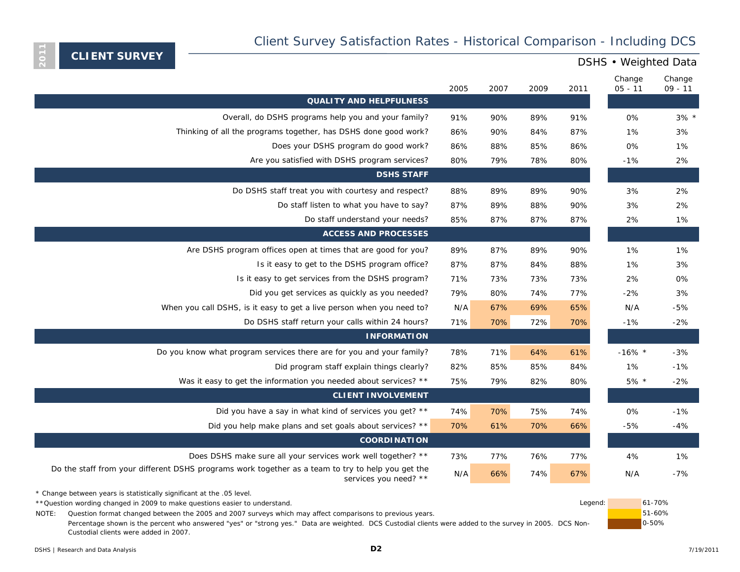<span id="page-4-0"></span>**2011**

## DSHS • Weighted Data

|                                                                                                                            | 2005 | 2007 | 2009 | 2011 | Change<br>$05 - 11$ | Change<br>$09 - 11$ |
|----------------------------------------------------------------------------------------------------------------------------|------|------|------|------|---------------------|---------------------|
| <b>QUALITY AND HELPFULNESS</b>                                                                                             |      |      |      |      |                     |                     |
| Overall, do DSHS programs help you and your family?                                                                        | 91%  | 90%  | 89%  | 91%  | 0%                  | $3\%$ *             |
| Thinking of all the programs together, has DSHS done good work?                                                            | 86%  | 90%  | 84%  | 87%  | 1%                  | 3%                  |
| Does your DSHS program do good work?                                                                                       | 86%  | 88%  | 85%  | 86%  | 0%                  | 1%                  |
| Are you satisfied with DSHS program services?                                                                              | 80%  | 79%  | 78%  | 80%  | $-1%$               | 2%                  |
| <b>DSHS STAFF</b>                                                                                                          |      |      |      |      |                     |                     |
| Do DSHS staff treat you with courtesy and respect?                                                                         | 88%  | 89%  | 89%  | 90%  | 3%                  | 2%                  |
| Do staff listen to what you have to say?                                                                                   | 87%  | 89%  | 88%  | 90%  | 3%                  | 2%                  |
| Do staff understand your needs?                                                                                            | 85%  | 87%  | 87%  | 87%  | 2%                  | 1%                  |
| <b>ACCESS AND PROCESSES</b>                                                                                                |      |      |      |      |                     |                     |
| Are DSHS program offices open at times that are good for you?                                                              | 89%  | 87%  | 89%  | 90%  | 1%                  | 1%                  |
| Is it easy to get to the DSHS program office?                                                                              | 87%  | 87%  | 84%  | 88%  | 1%                  | 3%                  |
| Is it easy to get services from the DSHS program?                                                                          | 71%  | 73%  | 73%  | 73%  | 2%                  | 0%                  |
| Did you get services as quickly as you needed?                                                                             | 79%  | 80%  | 74%  | 77%  | $-2%$               | 3%                  |
| When you call DSHS, is it easy to get a live person when you need to?                                                      | N/A  | 67%  | 69%  | 65%  | N/A                 | -5%                 |
| Do DSHS staff return your calls within 24 hours?                                                                           | 71%  | 70%  | 72%  | 70%  | $-1%$               | $-2%$               |
| <b>INFORMATION</b>                                                                                                         |      |      |      |      |                     |                     |
| Do you know what program services there are for you and your family?                                                       | 78%  | 71%  | 64%  | 61%  | $-16\%$ *           | $-3%$               |
| Did program staff explain things clearly?                                                                                  | 82%  | 85%  | 85%  | 84%  | 1%                  | $-1%$               |
| Was it easy to get the information you needed about services? **                                                           | 75%  | 79%  | 82%  | 80%  | $5\% *$             | $-2%$               |
| <b>CLIENT INVOLVEMENT</b>                                                                                                  |      |      |      |      |                     |                     |
| Did you have a say in what kind of services you get? **                                                                    | 74%  | 70%  | 75%  | 74%  | 0%                  | $-1%$               |
| Did you help make plans and set goals about services? **                                                                   | 70%  | 61%  | 70%  | 66%  | $-5%$               | $-4%$               |
| <b>COORDINATION</b>                                                                                                        |      |      |      |      |                     |                     |
| Does DSHS make sure all your services work well together? **                                                               | 73%  | 77%  | 76%  | 77%  | 4%                  | 1%                  |
| Do the staff from your different DSHS programs work together as a team to try to help you get the<br>services you need? ** | N/A  | 66%  | 74%  | 67%  | N/A                 | $-7%$               |

\* Change between years is statistically significant at the .05 level.

\*\*Question wording changed in 2009 to make questions easier to understand. Legend: 61-70% and 101-70% and 101-70% and 101-70% and 101-70% and 101-70% and 101-70% and 101-70% and 101-70% and 101-70% and 101-70% and 101-70%

NOTE: Question format changed between the 2005 and 2007 surveys which may affect comparisons to previous years. 
<br>
NOTE: Question format changed between the 2005 and 2007 surveys which may affect comparisons to previous ye

Percentage shown is the percent who answered "yes" or "strong yes." Data are weighted. DCS Custodial clients were added to the survey in 2005. DCS Non-Custodial clients were added in 2007.

| gend: | $61 - 70%$ |
|-------|------------|
|       | $51 - 60%$ |
|       | $0 - 50%$  |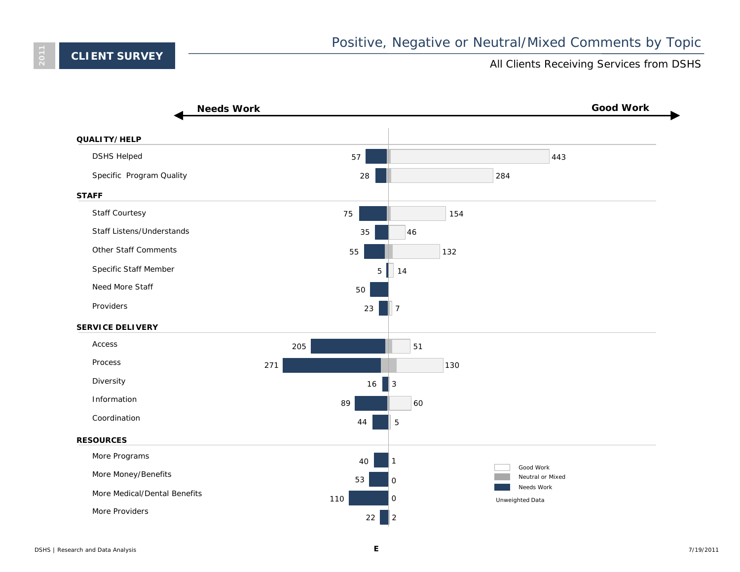<span id="page-5-0"></span>**2011**

### All Clients Receiving Services from DSHS